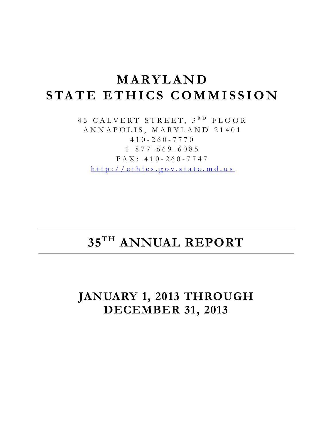# **MARYLAND STATE ETHICS COMMISS ION**

45 CALVERT STREET, 3RD FLOOR ANNAPOLIS, MARYLAND 21401 410 - 260 - 7770 1 - 877 - 669 - 6085 FAX: 410 - 260 - 774 7 [http://ethics.g ov.state.md.us](http://ethics.gov.state.md.us/)

# **35TH ANNUAL REPORT**

## **JANUARY 1, 2013 THROUGH DECEMBER 31, 2013**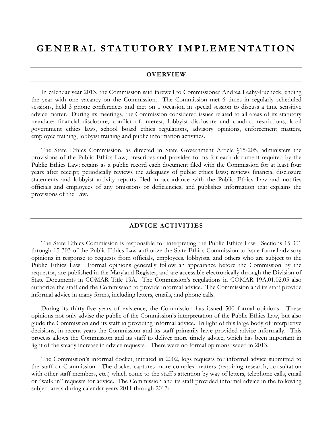### **GENERAL STATUTORY IM PLEMENTATION**

#### **OVERVIEW**

In calendar year 2013, the Commission said farewell to Commissioner Andrea Leahy-Fucheck, ending the year with one vacancy on the Commission. The Commission met 6 times in regularly scheduled sessions, held 3 phone conferences and met on 1 occasion in special session to discuss a time sensitive advice matter. During its meetings, the Commission considered issues related to all areas of its statutory mandate: financial disclosure, conflict of interest, lobbyist disclosure and conduct restrictions, local government ethics laws, school board ethics regulations, advisory opinions, enforcement matters, employee training, lobbyist training and public information activities.

The State Ethics Commission, as directed in State Government Article §15-205, administers the provisions of the Public Ethics Law; prescribes and provides forms for each document required by the Public Ethics Law; retains as a public record each document filed with the Commission for at least four years after receipt; periodically reviews the adequacy of public ethics laws; reviews financial disclosure statements and lobbyist activity reports filed in accordance with the Public Ethics Law and notifies officials and employees of any omissions or deficiencies; and publishes information that explains the provisions of the Law.

#### **ADVICE ACTIVITIES**

The State Ethics Commission is responsible for interpreting the Public Ethics Law. Sections 15-301 through 15-303 of the Public Ethics Law authorize the State Ethics Commission to issue formal advisory opinions in response to requests from officials, employees, lobbyists, and others who are subject to the Public Ethics Law. Formal opinions generally follow an appearance before the Commission by the requestor, are published in the Maryland Register, and are accessible electronically through the Division of State Documents in COMAR Title 19A. The Commission's regulations in COMAR 19A.01.02.05 also authorize the staff and the Commission to provide informal advice. The Commission and its staff provide informal advice in many forms, including letters, emails, and phone calls.

During its thirty-five years of existence, the Commission has issued 500 formal opinions. These opinions not only advise the public of the Commission's interpretation of the Public Ethics Law, but also guide the Commission and its staff in providing informal advice. In light of this large body of interpretive decisions, in recent years the Commission and its staff primarily have provided advice informally. This process allows the Commission and its staff to deliver more timely advice, which has been important in light of the steady increase in advice requests. There were no formal opinions issued in 2013.

The Commission's informal docket, initiated in 2002, logs requests for informal advice submitted to the staff or Commission. The docket captures more complex matters (requiring research, consultation with other staff members, etc.) which come to the staff's attention by way of letters, telephone calls, email or "walk in" requests for advice. The Commission and its staff provided informal advice in the following subject areas during calendar years 2011 through 2013: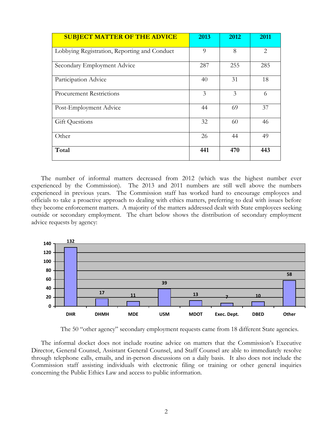| <b>SUBJECT MATTER OF THE ADVICE</b>          | 2013     | 2012 | 2011           |
|----------------------------------------------|----------|------|----------------|
| Lobbying Registration, Reporting and Conduct | $\Omega$ | 8    | $\overline{2}$ |
| Secondary Employment Advice                  | 287      | 255  | 285            |
| Participation Advice                         | 40       | 31   | 18             |
| <b>Procurement Restrictions</b>              | 3        | 3    | 6              |
| Post-Employment Advice                       | 44       | 69   | 37             |
| <b>Gift Questions</b>                        | 32       | 60   | 46             |
| Other                                        | 26       | 44   | 49             |
| Total                                        | 441      | 470  | 443            |

The number of informal matters decreased from 2012 (which was the highest number ever experienced by the Commission). The 2013 and 2011 numbers are still well above the numbers experienced in previous years. The Commission staff has worked hard to encourage employees and officials to take a proactive approach to dealing with ethics matters, preferring to deal with issues before they become enforcement matters. A majority of the matters addressed dealt with State employees seeking outside or secondary employment. The chart below shows the distribution of secondary employment advice requests by agency:



The 50 "other agency" secondary employment requests came from 18 different State agencies.

The informal docket does not include routine advice on matters that the Commission's Executive Director, General Counsel, Assistant General Counsel, and Staff Counsel are able to immediately resolve through telephone calls, emails, and in-person discussions on a daily basis. It also does not include the Commission staff assisting individuals with electronic filing or training or other general inquiries concerning the Public Ethics Law and access to public information.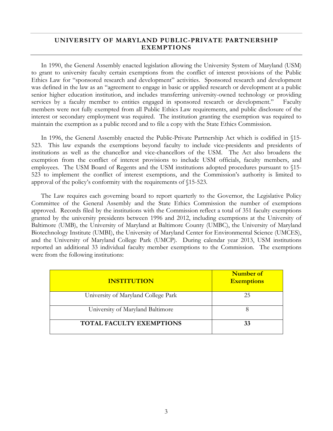#### **UNIVERSITY OF MARYLAND PUBLIC-PRIVATE PARTNERSHIP EXEMPTIONS**

In 1990, the General Assembly enacted legislation allowing the University System of Maryland (USM) to grant to university faculty certain exemptions from the conflict of interest provisions of the Public Ethics Law for "sponsored research and development" activities. Sponsored research and development was defined in the law as an "agreement to engage in basic or applied research or development at a public senior higher education institution, and includes transferring university-owned technology or providing services by a faculty member to entities engaged in sponsored research or development." Faculty members were not fully exempted from all Public Ethics Law requirements, and public disclosure of the interest or secondary employment was required. The institution granting the exemption was required to maintain the exemption as a public record and to file a copy with the State Ethics Commission.

In 1996, the General Assembly enacted the Public-Private Partnership Act which is codified in §15- 523. This law expands the exemptions beyond faculty to include vice-presidents and presidents of institutions as well as the chancellor and vice-chancellors of the USM. The Act also broadens the exemption from the conflict of interest provisions to include USM officials, faculty members, and employees. The USM Board of Regents and the USM institutions adopted procedures pursuant to §15- 523 to implement the conflict of interest exemptions, and the Commission's authority is limited to approval of the policy's conformity with the requirements of §15-523.

The Law requires each governing board to report quarterly to the Governor, the Legislative Policy Committee of the General Assembly and the State Ethics Commission the number of exemptions approved. Records filed by the institutions with the Commission reflect a total of 351 faculty exemptions granted by the university presidents between 1996 and 2012, including exemptions at the University of Baltimore (UMB), the University of Maryland at Baltimore County (UMBC), the University of Maryland Biotechnology Institute (UMBI), the University of Maryland Center for Environmental Science (UMCES), and the University of Maryland College Park (UMCP). During calendar year 2013, USM institutions reported an additional 33 individual faculty member exemptions to the Commission. The exemptions were from the following institutions:

| <b>INSTITUTION</b>                  | Number of<br><b>Exemptions</b> |
|-------------------------------------|--------------------------------|
| University of Maryland College Park | 25                             |
| University of Maryland Baltimore    |                                |
| <b>TOTAL FACULTY EXEMPTIONS</b>     |                                |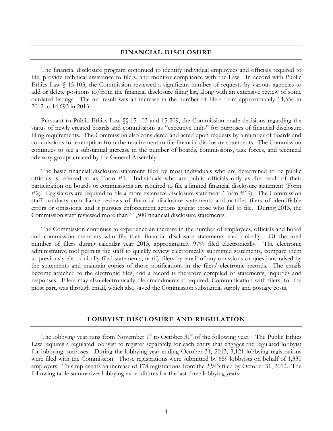#### **FINANCIAL DISCLOSURE**

The financial disclosure program continued to identify individual employees and officials required to file, provide technical assistance to filers, and monitor compliance with the Law. In accord with Public Ethics Law § 15-103, the Commission reviewed a significant number of requests by various agencies to add or delete positions to/from the financial disclosure filing list, along with an extensive review of some outdated listings. The net result was an increase in the number of filers from approximately 14,554 in 2012 to 14,693 in 2013.

Pursuant to Public Ethics Law §§ 15-103 and 15-209, the Commission made decisions regarding the status of newly created boards and commissions as "executive units" for purposes of financial disclosure filing requirements. The Commission also considered and acted upon requests by a number of boards and commissions for exemption from the requirement to file financial disclosure statements. The Commission continues to see a substantial increase in the number of boards, commissions, task forces, and technical advisory groups created by the General Assembly.

The basic financial disclosure statement filed by most individuals who are determined to be public officials is referred to as Form #1. Individuals who are public officials only as the result of their participation on boards or commissions are required to file a limited financial disclosure statement (Form #2). Legislators are required to file a more extensive disclosure statement (Form #19). The Commission staff conducts compliance reviews of financial disclosure statements and notifies filers of identifiable errors or omissions, and it pursues enforcement actions against those who fail to file. During 2013, the Commission staff reviewed more than 11,500 financial disclosure statements.

The Commission continues to experience an increase in the number of employees, officials and board and commission members who file their financial disclosure statements electronically. Of the total number of filers during calendar year 2013, approximately 97% filed electronically. The electronic administrative tool permits the staff to quickly review electronically submitted statements, compare them to previously electronically filed statements, notify filers by email of any omissions or questions raised by the statements and maintain copies of those notifications in the filers' electronic records. The emails become attached to the electronic files, and a record is therefore compiled of statements, inquiries and responses. Filers may also electronically file amendments if required. Communication with filers, for the most part, was through email, which also saved the Commission substantial supply and postage costs.

#### **LOBBYIST DISCLOSURE AND REGULATION**

The lobbying year runs from November  $1<sup>st</sup>$  to October  $31<sup>st</sup>$  of the following year. The Public Ethics Law requires a regulated lobbyist to register separately for each entity that engages the regulated lobbyist for lobbying purposes. During the lobbying year ending October 31, 2013, 3,121 lobbying registrations were filed with the Commission. Those registrations were submitted by 659 lobbyists on behalf of 1,330 employers. This represents an increase of 178 registrations from the 2,943 filed by October 31, 2012. The following table summarizes lobbying expenditures for the last three lobbying years: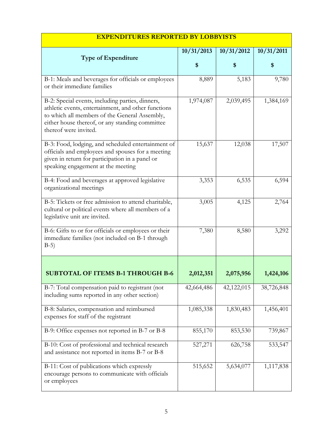| <u>EAPENDITURES REPURTED DI LUDDIISTS</u>                                                                                                                                                                                            |            |            |            |
|--------------------------------------------------------------------------------------------------------------------------------------------------------------------------------------------------------------------------------------|------------|------------|------------|
|                                                                                                                                                                                                                                      | 10/31/2013 | 10/31/2012 | 10/31/2011 |
| <b>Type of Expenditure</b>                                                                                                                                                                                                           | \$         | \$         | \$         |
| B-1: Meals and beverages for officials or employees<br>or their immediate families                                                                                                                                                   | 8,889      | 5,183      | 9,780      |
| B-2: Special events, including parties, dinners,<br>athletic events, entertainment, and other functions<br>to which all members of the General Assembly,<br>either house thereof, or any standing committee<br>thereof were invited. | 1,974,087  | 2,039,495  | 1,384,169  |
| B-3: Food, lodging, and scheduled entertainment of<br>officials and employees and spouses for a meeting<br>given in return for participation in a panel or<br>speaking engagement at the meeting                                     | 15,637     | 12,038     | 17,507     |
| B-4: Food and beverages at approved legislative<br>organizational meetings                                                                                                                                                           | 3,353      | 6,535      | 6,594      |
| B-5: Tickets or free admission to attend charitable,<br>cultural or political events where all members of a<br>legislative unit are invited.                                                                                         | 3,005      | 4,125      | 2,764      |
| B-6: Gifts to or for officials or employees or their<br>immediate families (not included on B-1 through<br>$B-5)$                                                                                                                    | 7,380      | 8,580      | 3,292      |
|                                                                                                                                                                                                                                      |            |            |            |
| <b>SUBTOTAL OF ITEMS B-1 THROUGH B-6</b>                                                                                                                                                                                             | 2,012,351  | 2,075,956  | 1,424,106  |
| B-7: Total compensation paid to registrant (not<br>including sums reported in any other section)                                                                                                                                     | 42,664,486 | 42,122,015 | 38,726,848 |
| B-8: Salaries, compensation and reimbursed<br>expenses for staff of the registrant                                                                                                                                                   | 1,085,338  | 1,830,483  | 1,456,401  |
| B-9: Office expenses not reported in B-7 or B-8                                                                                                                                                                                      | 855,170    | 853,530    | 739,867    |
| B-10: Cost of professional and technical research<br>and assistance not reported in items B-7 or B-8                                                                                                                                 | 527,271    | 626,758    | 533,547    |
| B-11: Cost of publications which expressly<br>encourage persons to communicate with officials<br>or employees                                                                                                                        | 515,652    | 5,634,077  | 1,117,838  |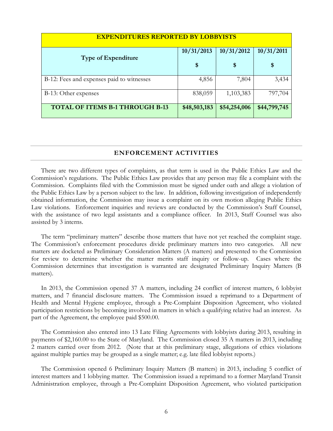| <b>EXPENDITURES REPORTED BY LOBBYISTS</b> |              |              |              |
|-------------------------------------------|--------------|--------------|--------------|
|                                           | 10/31/2013   | 10/31/2012   | 10/31/2011   |
| <b>Type of Expenditure</b>                | \$           | \$           | \$           |
| B-12: Fees and expenses paid to witnesses | 4,856        | 7,804        | 3,434        |
| B-13: Other expenses                      | 838,059      | 1,103,383    | 797,704      |
| <b>TOTAL OF ITEMS B-1 THROUGH B-13</b>    | \$48,503,183 | \$54,254,006 | \$44,799,745 |

#### **ENFORCEMENT ACTIVITIES**

There are two different types of complaints, as that term is used in the Public Ethics Law and the Commission's regulations. The Public Ethics Law provides that any person may file a complaint with the Commission. Complaints filed with the Commission must be signed under oath and allege a violation of the Public Ethics Law by a person subject to the law. In addition, following investigation of independently obtained information, the Commission may issue a complaint on its own motion alleging Public Ethics Law violations. Enforcement inquiries and reviews are conducted by the Commission's Staff Counsel, with the assistance of two legal assistants and a compliance officer. In 2013, Staff Counsel was also assisted by 3 interns.

The term "preliminary matters" describe those matters that have not yet reached the complaint stage. The Commission's enforcement procedures divide preliminary matters into two categories. All new matters are docketed as Preliminary Consideration Matters (A matters) and presented to the Commission for review to determine whether the matter merits staff inquiry or follow-up. Cases where the Commission determines that investigation is warranted are designated Preliminary Inquiry Matters (B matters).

In 2013, the Commission opened 37 A matters, including 24 conflict of interest matters, 6 lobbyist matters, and 7 financial disclosure matters. The Commission issued a reprimand to a Department of Health and Mental Hygiene employee, through a Pre-Complaint Disposition Agreement, who violated participation restrictions by becoming involved in matters in which a qualifying relative had an interest. As part of the Agreement, the employee paid \$500.00.

The Commission also entered into 13 Late Filing Agreements with lobbyists during 2013, resulting in payments of \$2,160.00 to the State of Maryland. The Commission closed 35 A matters in 2013, including 2 matters carried over from 2012. (Note that at this preliminary stage, allegations of ethics violations against multiple parties may be grouped as a single matter; e.g. late filed lobbyist reports.)

The Commission opened 6 Preliminary Inquiry Matters (B matters) in 2013, including 5 conflict of interest matters and 1 lobbying matter. The Commission issued a reprimand to a former Maryland Transit Administration employee, through a Pre-Complaint Disposition Agreement, who violated participation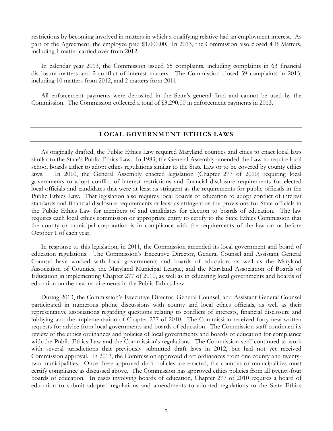restrictions by becoming involved in matters in which a qualifying relative had an employment interest. As part of the Agreement, the employee paid \$1,000.00. In 2013, the Commission also closed 4 B Matters, including 1 matter carried over from 2012.

In calendar year 2013, the Commission issued 65 complaints, including complaints in 63 financial disclosure matters and 2 conflict of interest matters. The Commission closed 59 complaints in 2013, including 10 matters from 2012, and 2 matters from 2011.

All enforcement payments were deposited in the State's general fund and cannot be used by the Commission. The Commission collected a total of \$3,290.00 in enforcement payments in 2013.

#### **LOCAL GOVERNMENT ETHICS LAWS**

As originally drafted, the Public Ethics Law required Maryland counties and cities to enact local laws similar to the State's Public Ethics Law. In 1983, the General Assembly amended the Law to require local school boards either to adopt ethics regulations similar to the State Law or to be covered by county ethics laws. In 2010, the General Assembly enacted legislation (Chapter 277 of 2010) requiring local governments to adopt conflict of interest restrictions and financial disclosure requirements for elected local officials and candidates that were at least as stringent as the requirements for public officials in the Public Ethics Law. That legislation also requires local boards of education to adopt conflict of interest standards and financial disclosure requirements at least as stringent as the provisions for State officials in the Public Ethics Law for members of and candidates for election to boards of education. The law requires each local ethics commission or appropriate entity to certify to the State Ethics Commission that the county or municipal corporation is in compliance with the requirements of the law on or before October 1 of each year.

In response to this legislation, in 2011, the Commission amended its local government and board of education regulations. The Commission's Executive Director, General Counsel and Assistant General Counsel have worked with local governments and boards of education, as well as the Maryland Association of Counties, the Maryland Municipal League, and the Maryland Association of Boards of Education in implementing Chapter 277 of 2010, as well as in educating local governments and boards of education on the new requirements in the Public Ethics Law.

During 2013, the Commission's Executive Director, General Counsel, and Assistant General Counsel participated in numerous phone discussions with county and local ethics officials, as well as their representative associations regarding questions relating to conflicts of interests, financial disclosure and lobbying and the implementation of Chapter 277 of 2010. The Commission received forty new written requests for advice from local governments and boards of education. The Commission staff continued its review of the ethics ordinances and policies of local governments and boards of education for compliance with the Public Ethics Law and the Commission's regulations. The Commission staff continued to work with several jurisdictions that previously submitted draft laws in 2012, but had not yet received Commission approval. In 2013, the Commission approved draft ordinances from one county and twentytwo municipalities. Once these approved draft policies are enacted, the counties or municipalities must certify compliance as discussed above. The Commission has approved ethics policies from all twenty-four boards of education. In cases involving boards of education, Chapter 277 of 2010 requires a board of education to submit adopted regulations and amendments to adopted regulations to the State Ethics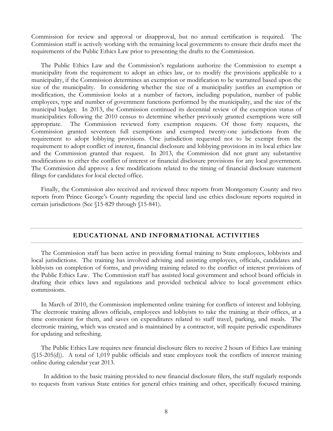Commission for review and approval or disapproval, but no annual certification is required. The Commission staff is actively working with the remaining local governments to ensure their drafts meet the requirements of the Public Ethics Law prior to presenting the drafts to the Commission.

The Public Ethics Law and the Commission's regulations authorize the Commission to exempt a municipality from the requirement to adopt an ethics law, or to modify the provisions applicable to a municipality, if the Commission determines an exemption or modification to be warranted based upon the size of the municipality. In considering whether the size of a municipality justifies an exemption or modification, the Commission looks at a number of factors, including population, number of public employees, type and number of government functions performed by the municipality, and the size of the municipal budget. In 2013, the Commission continued its decennial review of the exemption status of municipalities following the 2010 census to determine whether previously granted exemptions were still appropriate. The Commission reviewed forty exemption requests. Of those forty requests, the Commission granted seventeen full exemptions and exempted twenty-one jurisdictions from the requirement to adopt lobbying provisions. One jurisdiction requested not to be exempt from the requirement to adopt conflict of interest, financial disclosure and lobbying provisions in its local ethics law and the Commission granted that request. In 2013, the Commission did not grant any substantive modifications to either the conflict of interest or financial disclosure provisions for any local government. The Commission did approve a few modifications related to the timing of financial disclosure statement filings for candidates for local elected office.

Finally, the Commission also received and reviewed three reports from Montgomery County and two reports from Prince George's County regarding the special land use ethics disclosure reports required in certain jurisdictions (See §15-829 through §15-841).

#### **EDUCATIONAL AND INFORMATIONAL ACTIVITIES**

The Commission staff has been active in providing formal training to State employees, lobbyists and local jurisdictions. The training has involved advising and assisting employees, officials, candidates and lobbyists on completion of forms, and providing training related to the conflict of interest provisions of the Public Ethics Law. The Commission staff has assisted local government and school board officials in drafting their ethics laws and regulations and provided technical advice to local government ethics commissions.

In March of 2010, the Commission implemented online training for conflicts of interest and lobbying. The electronic training allows officials, employees and lobbyists to take the training at their offices, at a time convenient for them, and saves on expenditures related to staff travel, parking, and meals. The electronic training, which was created and is maintained by a contractor, will require periodic expenditures for updating and refreshing.

The Public Ethics Law requires new financial disclosure filers to receive 2 hours of Ethics Law training (§15-205(d)). A total of 1,019 public officials and state employees took the conflicts of interest training online during calendar year 2013.

In addition to the basic training provided to new financial disclosure filers, the staff regularly responds to requests from various State entities for general ethics training and other, specifically focused training.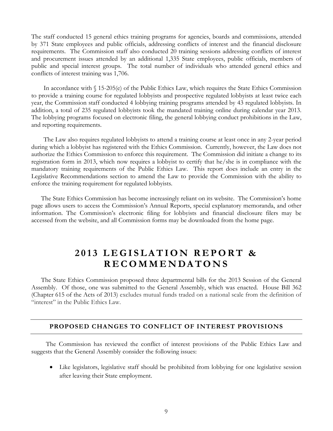The staff conducted 15 general ethics training programs for agencies, boards and commissions, attended by 371 State employees and public officials, addressing conflicts of interest and the financial disclosure requirements. The Commission staff also conducted 20 training sessions addressing conflicts of interest and procurement issues attended by an additional 1,335 State employees, public officials, members of public and special interest groups. The total number of individuals who attended general ethics and conflicts of interest training was 1,706.

In accordance with § 15-205(e) of the Public Ethics Law, which requires the State Ethics Commission to provide a training course for regulated lobbyists and prospective regulated lobbyists at least twice each year, the Commission staff conducted 4 lobbying training programs attended by 43 regulated lobbyists. In addition, a total of 235 regulated lobbyists took the mandated training online during calendar year 2013. The lobbying programs focused on electronic filing, the general lobbying conduct prohibitions in the Law, and reporting requirements.

The Law also requires regulated lobbyists to attend a training course at least once in any 2-year period during which a lobbyist has registered with the Ethics Commission. Currently, however, the Law does not authorize the Ethics Commission to enforce this requirement. The Commission did initiate a change to its registration form in 2013, which now requires a lobbyist to certify that he/she is in compliance with the mandatory training requirements of the Public Ethics Law. This report does include an entry in the Legislative Recommendations section to amend the Law to provide the Commission with the ability to enforce the training requirement for regulated lobbyists.

The State Ethics Commission has become increasingly reliant on its website. The Commission's home page allows users to access the Commission's Annual Reports, special explanatory memoranda, and other information. The Commission's electronic filing for lobbyists and financial disclosure filers may be accessed from the website, and all Commission forms may be downloaded from the home page.

### **201 3 LEGISLATION REPORT & RECOMMENDATONS**

The State Ethics Commission proposed three departmental bills for the 2013 Session of the General Assembly. Of those, one was submitted to the General Assembly, which was enacted. House Bill 362 (Chapter 615 of the Acts of 2013) excludes mutual funds traded on a national scale from the definition of "interest" in the Public Ethics Law.

#### **PROPOSED CHANGES TO CONFLICT OF INTEREST PROVISIONS**

The Commission has reviewed the conflict of interest provisions of the Public Ethics Law and suggests that the General Assembly consider the following issues:

• Like legislators, legislative staff should be prohibited from lobbying for one legislative session after leaving their State employment.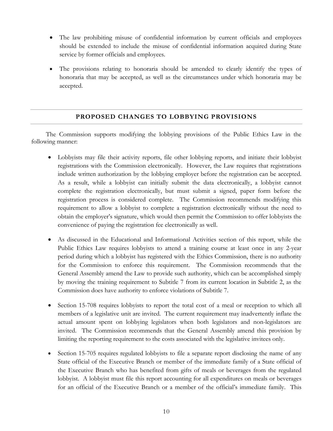- The law prohibiting misuse of confidential information by current officials and employees should be extended to include the misuse of confidential information acquired during State service by former officials and employees.
- The provisions relating to honoraria should be amended to clearly identify the types of honoraria that may be accepted, as well as the circumstances under which honoraria may be accepted.

#### **PROPOSED CHANGES TO LOBBYING PROVISIONS**

The Commission supports modifying the lobbying provisions of the Public Ethics Law in the following manner:

- Lobbyists may file their activity reports, file other lobbying reports, and initiate their lobbyist registrations with the Commission electronically. However, the Law requires that registrations include written authorization by the lobbying employer before the registration can be accepted. As a result, while a lobbyist can initially submit the data electronically, a lobbyist cannot complete the registration electronically, but must submit a signed, paper form before the registration process is considered complete. The Commission recommends modifying this requirement to allow a lobbyist to complete a registration electronically without the need to obtain the employer's signature, which would then permit the Commission to offer lobbyists the convenience of paying the registration fee electronically as well.
- As discussed in the Educational and Informational Activities section of this report, while the Public Ethics Law requires lobbyists to attend a training course at least once in any 2-year period during which a lobbyist has registered with the Ethics Commission, there is no authority for the Commission to enforce this requirement. The Commission recommends that the General Assembly amend the Law to provide such authority, which can be accomplished simply by moving the training requirement to Subtitle 7 from its current location in Subtitle 2, as the Commission does have authority to enforce violations of Subtitle 7.
- Section 15-708 requires lobbyists to report the total cost of a meal or reception to which all members of a legislative unit are invited. The current requirement may inadvertently inflate the actual amount spent on lobbying legislators when both legislators and non-legislators are invited. The Commission recommends that the General Assembly amend this provision by limiting the reporting requirement to the costs associated with the legislative invitees only.
- Section 15-705 requires regulated lobbyists to file a separate report disclosing the name of any State official of the Executive Branch or member of the immediate family of a State official of the Executive Branch who has benefited from gifts of meals or beverages from the regulated lobbyist. A lobbyist must file this report accounting for all expenditures on meals or beverages for an official of the Executive Branch or a member of the official's immediate family. This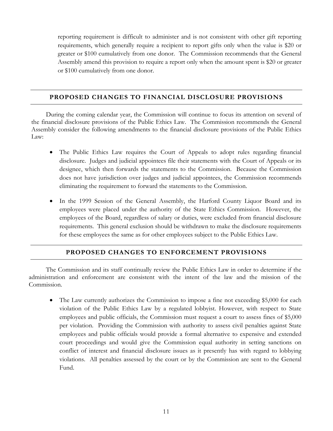reporting requirement is difficult to administer and is not consistent with other gift reporting requirements, which generally require a recipient to report gifts only when the value is \$20 or greater or \$100 cumulatively from one donor. The Commission recommends that the General Assembly amend this provision to require a report only when the amount spent is \$20 or greater or \$100 cumulatively from one donor.

#### **PROPOSED CHANGES TO FINANCIAL DISCLOSURE PROVISIONS**

During the coming calendar year, the Commission will continue to focus its attention on several of the financial disclosure provisions of the Public Ethics Law. The Commission recommends the General Assembly consider the following amendments to the financial disclosure provisions of the Public Ethics Law:

- The Public Ethics Law requires the Court of Appeals to adopt rules regarding financial disclosure. Judges and judicial appointees file their statements with the Court of Appeals or its designee, which then forwards the statements to the Commission. Because the Commission does not have jurisdiction over judges and judicial appointees, the Commission recommends eliminating the requirement to forward the statements to the Commission.
- In the 1999 Session of the General Assembly, the Harford County Liquor Board and its employees were placed under the authority of the State Ethics Commission. However, the employees of the Board, regardless of salary or duties, were excluded from financial disclosure requirements. This general exclusion should be withdrawn to make the disclosure requirements for these employees the same as for other employees subject to the Public Ethics Law.

#### **PROPOSED CHANGES TO ENFORCEMENT PROVISIONS**

The Commission and its staff continually review the Public Ethics Law in order to determine if the administration and enforcement are consistent with the intent of the law and the mission of the Commission.

• The Law currently authorizes the Commission to impose a fine not exceeding \$5,000 for each violation of the Public Ethics Law by a regulated lobbyist. However, with respect to State employees and public officials, the Commission must request a court to assess fines of \$5,000 per violation. Providing the Commission with authority to assess civil penalties against State employees and public officials would provide a formal alternative to expensive and extended court proceedings and would give the Commission equal authority in setting sanctions on conflict of interest and financial disclosure issues as it presently has with regard to lobbying violations. All penalties assessed by the court or by the Commission are sent to the General Fund.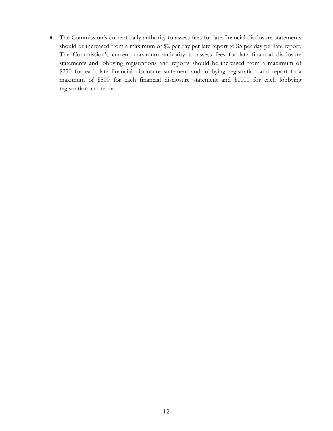• The Commission's current daily authority to assess fees for late financial disclosure statements should be increased from a maximum of \$2 per day per late report to \$5 per day per late report. The Commission's current maximum authority to assess fees for late financial disclosure statements and lobbying registrations and reports should be increased from a maximum of \$250 for each late financial disclosure statement and lobbying registration and report to a maximum of \$500 for each financial disclosure statement and \$1000 for each lobbying registration and report.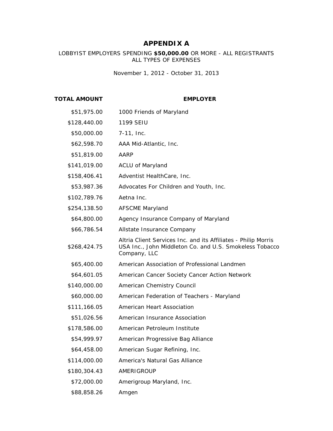#### **APPENDIX A**

#### LOBBYIST EMPLOYERS SPENDING **\$50,000.00** OR MORE - ALL REGISTRANTS ALL TYPES OF EXPENSES

*November 1, 2012 - October 31, 2013*

#### **TOTAL AMOUNT EMPLOYER**

| \$51,975.00  | 1000 Friends of Maryland                                                                                                                  |
|--------------|-------------------------------------------------------------------------------------------------------------------------------------------|
| \$128,440.00 | 1199 SEIU                                                                                                                                 |
| \$50,000.00  | $7-11$ , Inc.                                                                                                                             |
| \$62,598.70  | AAA Mid-Atlantic, Inc.                                                                                                                    |
| \$51,819.00  | <b>AARP</b>                                                                                                                               |
| \$141,019.00 | <b>ACLU of Maryland</b>                                                                                                                   |
| \$158,406.41 | Adventist HealthCare, Inc.                                                                                                                |
| \$53,987.36  | Advocates For Children and Youth, Inc.                                                                                                    |
| \$102,789.76 | Aetna Inc.                                                                                                                                |
| \$254,138.50 | <b>AFSCME Maryland</b>                                                                                                                    |
| \$64,800.00  | Agency Insurance Company of Maryland                                                                                                      |
| \$66,786.54  | Allstate Insurance Company                                                                                                                |
| \$268,424.75 | Altria Client Services Inc. and its Affiliates - Philip Morris<br>USA Inc., John Middleton Co. and U.S. Smokeless Tobacco<br>Company, LLC |
| \$65,400.00  | American Association of Professional Landmen                                                                                              |
| \$64,601.05  | American Cancer Society Cancer Action Network                                                                                             |
| \$140,000.00 | American Chemistry Council                                                                                                                |
| \$60,000.00  | American Federation of Teachers - Maryland                                                                                                |
| \$111,166.05 | American Heart Association                                                                                                                |
| \$51,026.56  | American Insurance Association                                                                                                            |
| \$178,586.00 | American Petroleum Institute                                                                                                              |
| \$54,999.97  | American Progressive Bag Alliance                                                                                                         |
| \$64,458.00  | American Sugar Refining, Inc.                                                                                                             |
| \$114,000.00 | America's Natural Gas Alliance                                                                                                            |
| \$180,304.43 | AMERIGROUP                                                                                                                                |
| \$72,000.00  | Amerigroup Maryland, Inc.                                                                                                                 |
| \$88,858.26  | Amgen                                                                                                                                     |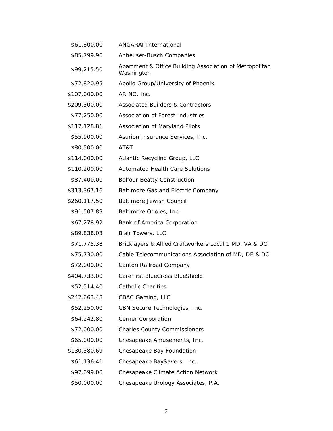| \$61,800.00  | <b>ANGARAI</b> International                                          |
|--------------|-----------------------------------------------------------------------|
| \$85,799.96  | Anheuser-Busch Companies                                              |
| \$99,215.50  | Apartment & Office Building Association of Metropolitan<br>Washington |
| \$72,820.95  | Apollo Group/University of Phoenix                                    |
| \$107,000.00 | ARINC, Inc.                                                           |
| \$209,300.00 | <b>Associated Builders &amp; Contractors</b>                          |
| \$77,250.00  | Association of Forest Industries                                      |
| \$117,128.81 | Association of Maryland Pilots                                        |
| \$55,900.00  | Asurion Insurance Services, Inc.                                      |
| \$80,500.00  | AT&T                                                                  |
| \$114,000.00 | Atlantic Recycling Group, LLC                                         |
| \$110,200.00 | <b>Automated Health Care Solutions</b>                                |
| \$87,400.00  | <b>Balfour Beatty Construction</b>                                    |
| \$313,367.16 | Baltimore Gas and Electric Company                                    |
| \$260,117.50 | <b>Baltimore Jewish Council</b>                                       |
| \$91,507.89  | Baltimore Orioles, Inc.                                               |
| \$67,278.92  | Bank of America Corporation                                           |
| \$89,838.03  | <b>Blair Towers, LLC</b>                                              |
| \$71,775.38  | Bricklayers & Allied Craftworkers Local 1 MD, VA & DC                 |
| \$75,730.00  | Cable Telecommunications Association of MD, DE & DC                   |
| \$72,000.00  | Canton Railroad Company                                               |
| \$404,733.00 | CareFirst BlueCross BlueShield                                        |
| \$52,514.40  | Catholic Charities                                                    |
| \$242,663.48 | CBAC Gaming, LLC                                                      |
| \$52,250.00  | CBN Secure Technologies, Inc.                                         |
| \$64,242.80  | Cerner Corporation                                                    |
| \$72,000.00  | <b>Charles County Commissioners</b>                                   |
| \$65,000.00  | Chesapeake Amusements, Inc.                                           |
| \$130,380.69 | Chesapeake Bay Foundation                                             |
| \$61,136.41  | Chesapeake BaySavers, Inc.                                            |
| \$97,099.00  | Chesapeake Climate Action Network                                     |
|              |                                                                       |

\$50,000.00 Chesapeake Urology Associates, P.A.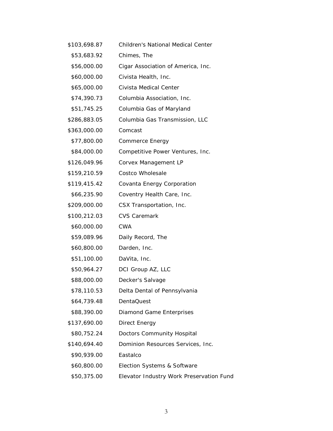| \$103,698.87 | <b>Children's National Medical Center</b> |
|--------------|-------------------------------------------|
| \$53,683.92  | Chimes, The                               |
| \$56,000.00  | Cigar Association of America, Inc.        |
| \$60,000.00  | Civista Health, Inc.                      |
| \$65,000.00  | Civista Medical Center                    |
| \$74,390.73  | Columbia Association, Inc.                |
| \$51,745.25  | Columbia Gas of Maryland                  |
| \$286,883.05 | Columbia Gas Transmission, LLC            |
| \$363,000.00 | Comcast                                   |
| \$77,800.00  | Commerce Energy                           |
| \$84,000.00  | Competitive Power Ventures, Inc.          |
| \$126,049.96 | Corvex Management LP                      |
| \$159,210.59 | <b>Costco Wholesale</b>                   |
| \$119,415.42 | Covanta Energy Corporation                |
| \$66,235.90  | Coventry Health Care, Inc.                |
| \$209,000.00 | CSX Transportation, Inc.                  |
| \$100,212.03 | <b>CVS Caremark</b>                       |
| \$60,000.00  | <b>CWA</b>                                |
| \$59,089.96  | Daily Record, The                         |
| \$60,800.00  | Darden, Inc.                              |
| \$51,100.00  | DaVita, Inc.                              |
| \$50,964.27  | DCI Group AZ, LLC                         |
| \$88,000.00  | Decker's Salvage                          |
| \$78,110.53  | Delta Dental of Pennsylvania              |
| \$64,739.48  | DentaQuest                                |
| \$88,390.00  | Diamond Game Enterprises                  |
| \$137,690.00 | Direct Energy                             |
| \$80,752.24  | Doctors Community Hospital                |
| \$140,694.40 | Dominion Resources Services, Inc.         |
| \$90,939.00  | Eastalco                                  |
| \$60,800.00  | Election Systems & Software               |
| \$50,375.00  | Elevator Industry Work Preservation Fund  |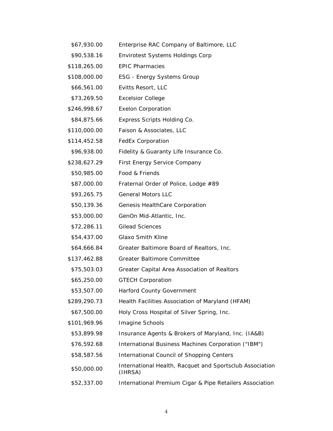| \$67,930.00  | Enterprise RAC Company of Baltimore, LLC                            |
|--------------|---------------------------------------------------------------------|
| \$90,538.16  | <b>Envirotest Systems Holdings Corp</b>                             |
| \$118,265.00 | <b>EPIC Pharmacies</b>                                              |
| \$108,000.00 | <b>ESG - Energy Systems Group</b>                                   |
| \$66,561.00  | Evitts Resort, LLC                                                  |
| \$73,269.50  | <b>Excelsior College</b>                                            |
| \$246,998.67 | <b>Exelon Corporation</b>                                           |
| \$84,875.66  | Express Scripts Holding Co.                                         |
| \$110,000.00 | Faison & Associates, LLC                                            |
| \$114,452.58 | FedEx Corporation                                                   |
| \$96,938.00  | Fidelity & Guaranty Life Insurance Co.                              |
| \$238,627.29 | First Energy Service Company                                        |
| \$50,985.00  | Food & Friends                                                      |
| \$87,000.00  | Fraternal Order of Police, Lodge #89                                |
| \$93,265.75  | <b>General Motors LLC</b>                                           |
| \$50,139.36  | Genesis HealthCare Corporation                                      |
| \$53,000.00  | GenOn Mid-Atlantic, Inc.                                            |
| \$72,286.11  | <b>Gilead Sciences</b>                                              |
| \$54,437.00  | <b>Glaxo Smith Kline</b>                                            |
| \$64,666.84  | Greater Baltimore Board of Realtors, Inc.                           |
| \$137,462.88 | <b>Greater Baltimore Committee</b>                                  |
| \$75,503.03  | Greater Capital Area Association of Realtors                        |
| \$65,250.00  | <b>GTECH Corporation</b>                                            |
| \$53,507.00  | Harford County Government                                           |
| \$289,290.73 | Health Facilities Association of Maryland (HFAM)                    |
| \$67,500.00  | Holy Cross Hospital of Silver Spring, Inc.                          |
| \$101,969.96 | Imagine Schools                                                     |
| \$53,899.98  | Insurance Agents & Brokers of Maryland, Inc. (IA&B)                 |
| \$76,592.68  | International Business Machines Corporation ("IBM")                 |
| \$58,587.56  | International Council of Shopping Centers                           |
| \$50,000.00  | International Health, Racquet and Sportsclub Association<br>(IHRSA) |
| \$52,337.00  | International Premium Cigar & Pipe Retailers Association            |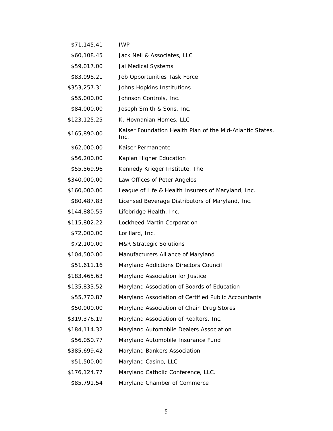| \$71,145.41  | <b>IWP</b>                                                        |
|--------------|-------------------------------------------------------------------|
| \$60,108.45  | Jack Neil & Associates, LLC                                       |
| \$59,017.00  | Jai Medical Systems                                               |
| \$83,098.21  | Job Opportunities Task Force                                      |
| \$353,257.31 | Johns Hopkins Institutions                                        |
| \$55,000.00  | Johnson Controls, Inc.                                            |
| \$84,000.00  | Joseph Smith & Sons, Inc.                                         |
| \$123,125.25 | K. Hovnanian Homes, LLC                                           |
| \$165,890.00 | Kaiser Foundation Health Plan of the Mid-Atlantic States,<br>Inc. |
| \$62,000.00  | Kaiser Permanente                                                 |
| \$56,200.00  | Kaplan Higher Education                                           |
| \$55,569.96  | Kennedy Krieger Institute, The                                    |
| \$340,000.00 | Law Offices of Peter Angelos                                      |
| \$160,000.00 | League of Life & Health Insurers of Maryland, Inc.                |
| \$80,487.83  | Licensed Beverage Distributors of Maryland, Inc.                  |
| \$144,880.55 | Lifebridge Health, Inc.                                           |
| \$115,802.22 | Lockheed Martin Corporation                                       |
| \$72,000.00  | Lorillard, Inc.                                                   |
| \$72,100.00  | <b>M&amp;R Strategic Solutions</b>                                |
| \$104,500.00 | Manufacturers Alliance of Maryland                                |
| \$51,611.16  | Maryland Addictions Directors Council                             |
| \$183,465.63 | Maryland Association for Justice                                  |
| \$135,833.52 | Maryland Association of Boards of Education                       |
| \$55,770.87  | Maryland Association of Certified Public Accountants              |
| \$50,000.00  | Maryland Association of Chain Drug Stores                         |
| \$319,376.19 | Maryland Association of Realtors, Inc.                            |
| \$184,114.32 | Maryland Automobile Dealers Association                           |
| \$56,050.77  | Maryland Automobile Insurance Fund                                |
| \$385,699.42 | Maryland Bankers Association                                      |
| \$51,500.00  | Maryland Casino, LLC                                              |
| \$176,124.77 | Maryland Catholic Conference, LLC.                                |
| \$85,791.54  | Maryland Chamber of Commerce                                      |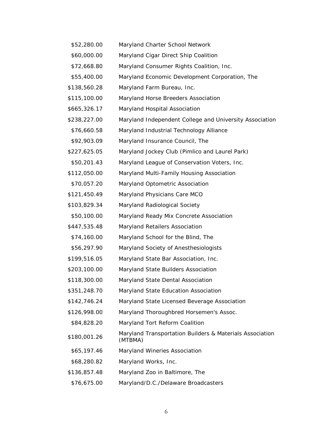| \$52,280.00  | Maryland Charter School Network                                     |
|--------------|---------------------------------------------------------------------|
| \$60,000.00  | Maryland Cigar Direct Ship Coalition                                |
| \$72,668.80  | Maryland Consumer Rights Coalition, Inc.                            |
| \$55,400.00  | Maryland Economic Development Corporation, The                      |
| \$138,560.28 | Maryland Farm Bureau, Inc.                                          |
| \$115,100.00 | Maryland Horse Breeders Association                                 |
| \$665,326.17 | Maryland Hospital Association                                       |
| \$238,227.00 | Maryland Independent College and University Association             |
| \$76,660.58  | Maryland Industrial Technology Alliance                             |
| \$92,903.09  | Maryland Insurance Council, The                                     |
| \$227,625.05 | Maryland Jockey Club (Pimlico and Laurel Park)                      |
| \$50,201.43  | Maryland League of Conservation Voters, Inc.                        |
| \$112,050.00 | Maryland Multi-Family Housing Association                           |
| \$70,057.20  | Maryland Optometric Association                                     |
| \$121,450.49 | Maryland Physicians Care MCO                                        |
| \$103,829.34 | Maryland Radiological Society                                       |
| \$50,100.00  | Maryland Ready Mix Concrete Association                             |
| \$447,535.48 | Maryland Retailers Association                                      |
| \$74,160.00  | Maryland School for the Blind, The                                  |
| \$56,297.90  | Maryland Society of Anesthesiologists                               |
| \$199,516.05 | Maryland State Bar Association, Inc.                                |
| \$203,100.00 | Maryland State Builders Association                                 |
| \$118,300.00 | Maryland State Dental Association                                   |
| \$351,248.70 | Maryland State Education Association                                |
| \$142,746.24 | Maryland State Licensed Beverage Association                        |
| \$126,998.00 | Maryland Thoroughbred Horsemen's Assoc.                             |
| \$84,828.20  | Maryland Tort Reform Coalition                                      |
| \$180,001.26 | Maryland Transportation Builders & Materials Association<br>(MTBMA) |
| \$65,197.46  | Maryland Wineries Association                                       |
| \$68,280.82  | Maryland Works, Inc.                                                |
| \$136,857.48 | Maryland Zoo in Baltimore, The                                      |
| \$76,675.00  | Maryland/D.C./Delaware Broadcasters                                 |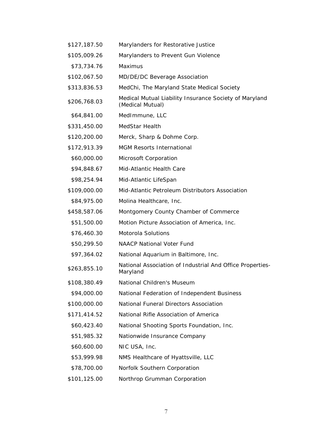\$127,187.50 Marylanders for Restorative Justice \$105,009.26 Marylanders to Prevent Gun Violence \$73,734.76 Maximus \$102,067.50 MD/DE/DC Beverage Association \$313,836.53 MedChi, The Maryland State Medical Society \$206,768.03 Medical Mutual Liability Insurance Society of Maryland (Medical Mutual) \$64,841.00 MedImmune, LLC \$331,450.00 MedStar Health \$120,200.00 Merck, Sharp & Dohme Corp. \$172,913.39 MGM Resorts International \$60,000.00 Microsoft Corporation \$94,848.67 Mid-Atlantic Health Care \$98,254.94 Mid-Atlantic LifeSpan \$109,000.00 Mid-Atlantic Petroleum Distributors Association \$84,975.00 Molina Healthcare, Inc. \$458,587.06 Montgomery County Chamber of Commerce \$51,500.00 Motion Picture Association of America, Inc. \$76,460.30 Motorola Solutions \$50,299.50 NAACP National Voter Fund \$97,364.02 National Aquarium in Baltimore, Inc. \$263,855.10 National Association of Industrial And Office Properties-Maryland \$108,380.49 National Children's Museum \$94,000.00 National Federation of Independent Business \$100,000.00 National Funeral Directors Association \$171,414.52 National Rifle Association of America \$60,423.40 National Shooting Sports Foundation, Inc. \$51,985.32 Nationwide Insurance Company \$60,600.00 NIC USA, Inc. \$53,999.98 NMS Healthcare of Hyattsville, LLC \$78,700.00 Norfolk Southern Corporation \$101,125.00 Northrop Grumman Corporation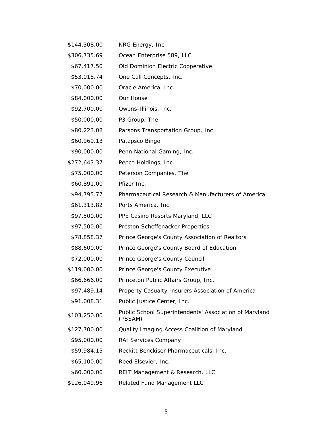| \$144,308.00 | NRG Energy, Inc.                                                  |
|--------------|-------------------------------------------------------------------|
| \$306,735.69 | Ocean Enterprise 589, LLC                                         |
| \$67,417.50  | Old Dominion Electric Cooperative                                 |
| \$53,018.74  | One Call Concepts, Inc.                                           |
| \$70,000.00  | Oracle America, Inc.                                              |
| \$84,000.00  | Our House                                                         |
| \$92,700.00  | Owens-Illinois, Inc.                                              |
| \$50,000.00  | P3 Group, The                                                     |
| \$80,223.08  | Parsons Transportation Group, Inc.                                |
| \$60,969.13  | Patapsco Bingo                                                    |
| \$90,000.00  | Penn National Gaming, Inc.                                        |
| \$272,643.37 | Pepco Holdings, Inc.                                              |
| \$75,000.00  | Peterson Companies, The                                           |
| \$60,891.00  | Pfizer Inc.                                                       |
| \$94,795.77  | Pharmaceutical Research & Manufacturers of America                |
| \$61,313.82  | Ports America, Inc.                                               |
| \$97,500.00  | PPE Casino Resorts Maryland, LLC                                  |
| \$97,500.00  | Preston Scheffenacker Properties                                  |
| \$78,858.37  | Prince George's County Association of Realtors                    |
| \$88,600.00  | Prince George's County Board of Education                         |
| \$72,000.00  | Prince George's County Council                                    |
| \$119,000.00 | Prince George's County Executive                                  |
| \$66,666.00  | Princeton Public Affairs Group, Inc.                              |
| \$97,489.14  | Property Casualty Insurers Association of America                 |
| \$91,008.31  | Public Justice Center, Inc.                                       |
| \$103,250.00 | Public School Superintendents' Association of Maryland<br>(PSSAM) |
| \$127,700.00 | Quality Imaging Access Coalition of Maryland                      |
| \$95,000.00  | RAI Services Company                                              |
| \$59,984.15  | Reckitt Benckiser Pharmaceuticals, Inc.                           |
| \$65,100.00  | Reed Elsevier, Inc.                                               |
| \$60,000.00  | REIT Management & Research, LLC                                   |
| \$126,049.96 | Related Fund Management LLC                                       |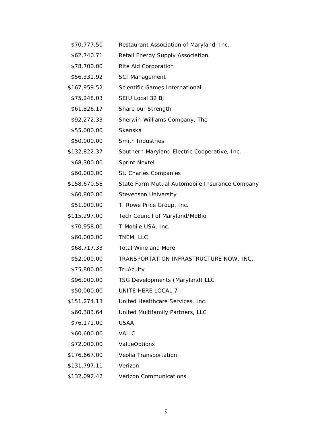| \$70,777.50  | Restaurant Association of Maryland, Inc.       |
|--------------|------------------------------------------------|
| \$62,740.71  | Retail Energy Supply Association               |
| \$78,700.00  | Rite Aid Corporation                           |
| \$56,331.92  | <b>SCI Management</b>                          |
| \$167,959.52 | Scientific Games International                 |
| \$75,248.03  | SEIU Local 32 BJ                               |
| \$61,826.17  | Share our Strength                             |
| \$92,272.33  | Sherwin-Williams Company, The                  |
| \$55,000.00  | Skanska                                        |
| \$50,000.00  | Smith Industries                               |
| \$132,822.37 | Southern Maryland Electric Cooperative, Inc.   |
| \$68,300.00  | <b>Sprint Nextel</b>                           |
| \$60,000.00  | St. Charles Companies                          |
| \$158,670.58 | State Farm Mutual Automobile Insurance Company |
| \$60,800.00  | <b>Stevenson University</b>                    |
| \$51,000.00  | T. Rowe Price Group, Inc.                      |
| \$115,297.00 | Tech Council of Maryland/MdBio                 |
| \$70,958.00  | T-Mobile USA, Inc.                             |
| \$60,000.00  | TNEM, LLC                                      |
| \$68,717.33  | <b>Total Wine and More</b>                     |
| \$52,000.00  | TRANSPORTATION INFRASTRUCTURE NOW, INC.        |
| \$75,800.00  | TruAcuity                                      |
| \$96,000.00  | TSG Developments (Maryland) LLC                |
| \$50,000.00  | UNITE HERE LOCAL 7                             |
| \$151,274.13 | United Healthcare Services, Inc.               |
| \$60,383.64  | United Multifamily Partners, LLC               |
| \$76,171.00  | <b>USAA</b>                                    |
| \$60,600.00  | <b>VALIC</b>                                   |
| \$72,000.00  | <b>ValueOptions</b>                            |
| \$176,667.00 | Veolia Transportation                          |
| \$131,797.11 | Verizon                                        |
| \$132,092.42 | <b>Verizon Communications</b>                  |
|              |                                                |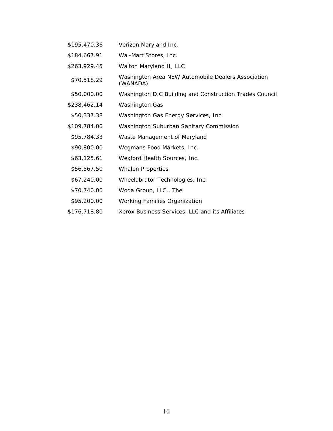- \$195,470.36 Verizon Maryland Inc.
- \$184,667.91 Wal-Mart Stores, Inc.
- \$263,929.45 Walton Maryland II, LLC
- \$70,518.29 Washington Area NEW Automobile Dealers Association (WANADA)
- \$50,000.00 Washington D.C Building and Construction Trades Council
- \$238,462.14 Washington Gas
- \$50,337.38 Washington Gas Energy Services, Inc.
- \$109,784.00 Washington Suburban Sanitary Commission
- \$95,784.33 Waste Management of Maryland
- \$90,800.00 Wegmans Food Markets, Inc.
- \$63,125.61 Wexford Health Sources, Inc.
- \$56,567.50 Whalen Properties
- \$67,240.00 Wheelabrator Technologies, Inc.
- \$70,740.00 Woda Group, LLC., The
- \$95,200.00 Working Families Organization
- \$176,718.80 Xerox Business Services, LLC and its Affiliates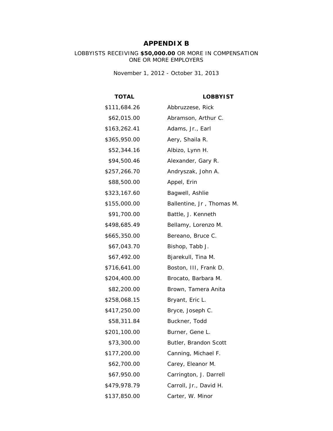### **APPENDIX B**

LOBBYISTS RECEIVING **\$50,000.00** OR MORE IN COMPENSATION ONE OR MORE EMPLOYERS

*November 1, 2012 - October 31, 2013*

**TOTAL LOBBYIST**

| \$111,684.26 | Abbruzzese, Rick          |
|--------------|---------------------------|
| \$62,015.00  | Abramson, Arthur C.       |
| \$163,262.41 | Adams, Jr., Earl          |
| \$365,950.00 | Aery, Shaila R.           |
| \$52,344.16  | Albizo, Lynn H.           |
| \$94,500.46  | Alexander, Gary R.        |
| \$257,266.70 | Andryszak, John A.        |
| \$88,500.00  | Appel, Erin               |
| \$323,167.60 | Bagwell, Ashlie           |
| \$155,000.00 | Ballentine, Jr, Thomas M. |
| \$91,700.00  | Battle, J. Kenneth        |
| \$498,685.49 | Bellamy, Lorenzo M.       |
| \$665,350.00 | Bereano, Bruce C.         |
| \$67,043.70  | Bishop, Tabb J.           |
| \$67,492.00  | Bjarekull, Tina M.        |
| \$716,641.00 | Boston, III, Frank D.     |
| \$204,400.00 | Brocato, Barbara M.       |
| \$82,200.00  | Brown, Tamera Anita       |
| \$258,068.15 | Bryant, Eric L.           |
| \$417,250.00 | Bryce, Joseph C.          |
| \$58,311.84  | Buckner, Todd             |
| \$201,100.00 | Burner, Gene L.           |
| \$73,300.00  | Butler, Brandon Scott     |
| \$177,200.00 | Canning, Michael F.       |
| \$62,700.00  | Carey, Eleanor M.         |
| \$67,950.00  | Carrington, J. Darrell    |
| \$479,978.79 | Carroll, Jr., David H.    |
| \$137,850.00 | Carter, W. Minor          |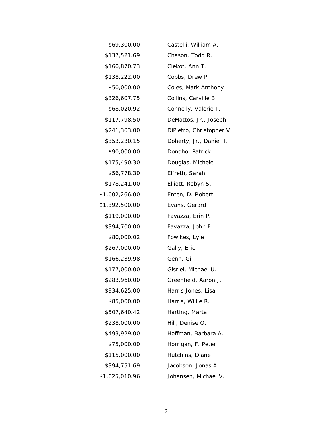| \$69,300.00    | Castelli, William A.     |
|----------------|--------------------------|
| \$137,521.69   | Chason, Todd R.          |
| \$160,870.73   | Ciekot, Ann T.           |
| \$138,222.00   | Cobbs, Drew P.           |
| \$50,000.00    | Coles, Mark Anthony      |
| \$326,607.75   | Collins, Carville B.     |
| \$68,020.92    | Connelly, Valerie T.     |
| \$117,798.50   | DeMattos, Jr., Joseph    |
| \$241,303.00   | DiPietro, Christopher V. |
| \$353,230.15   | Doherty, Jr., Daniel T.  |
| \$90,000.00    | Donoho, Patrick          |
| \$175,490.30   | Douglas, Michele         |
| \$56,778.30    | Elfreth, Sarah           |
| \$178,241.00   | Elliott, Robyn S.        |
| \$1,002,266.00 | Enten, D. Robert         |
| \$1,392,500.00 | Evans, Gerard            |
| \$119,000.00   | Favazza, Erin P.         |
| \$394,700.00   | Favazza, John F.         |
| \$80,000.02    | Fowlkes, Lyle            |
| \$267,000.00   | Gally, Eric              |
| \$166,239.98   | Genn, Gil                |
| \$177,000.00   | Gisriel, Michael U.      |
| \$283,960.00   | Greenfield, Aaron J.     |
| \$934,625.00   | Harris Jones, Lisa       |
| \$85,000.00    | Harris, Willie R.        |
| \$507,640.42   | Harting, Marta           |
| \$238,000.00   | Hill, Denise O.          |
| \$493,929.00   | Hoffman, Barbara A.      |
| \$75,000.00    | Horrigan, F. Peter       |
| \$115,000.00   | Hutchins, Diane          |
| \$394,751.69   | Jacobson, Jonas A.       |
| \$1,025,010.96 | Johansen, Michael V.     |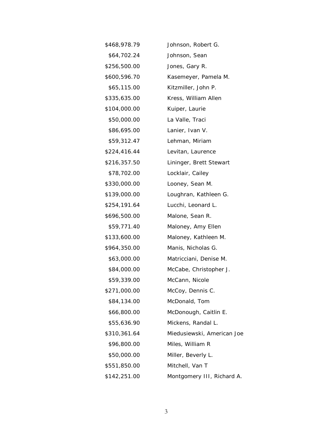| \$468,978.79 | Johnson, Robert G.         |
|--------------|----------------------------|
| \$64,702.24  | Johnson, Sean              |
| \$256,500.00 | Jones, Gary R.             |
| \$600,596.70 | Kasemeyer, Pamela M.       |
| \$65,115.00  | Kitzmiller, John P.        |
| \$335,635.00 | Kress, William Allen       |
| \$104,000.00 | Kuiper, Laurie             |
| \$50,000.00  | La Valle, Traci            |
| \$86,695.00  | Lanier, Ivan V.            |
| \$59,312.47  | Lehman, Miriam             |
| \$224,416.44 | Levitan, Laurence          |
| \$216,357.50 | Lininger, Brett Stewart    |
| \$78,702.00  | Locklair, Cailey           |
| \$330,000.00 | Looney, Sean M.            |
| \$139,000.00 | Loughran, Kathleen G.      |
| \$254,191.64 | Lucchi, Leonard L.         |
| \$696,500.00 | Malone, Sean R.            |
| \$59,771.40  | Maloney, Amy Ellen         |
| \$133,600.00 | Maloney, Kathleen M.       |
| \$964,350.00 | Manis, Nicholas G.         |
| \$63,000.00  | Matricciani, Denise M.     |
| \$84,000.00  | McCabe, Christopher J.     |
| \$59,339.00  | McCann, Nicole             |
| \$271,000.00 | McCoy, Dennis C.           |
| \$84,134.00  | McDonald, Tom              |
| \$66,800.00  | McDonough, Caitlin E.      |
| \$55,636.90  | Mickens, Randal L.         |
| \$310,361.64 | Miedusiewski, American Joe |
| \$96,800.00  | Miles, William R           |
| \$50,000.00  | Miller, Beverly L.         |
| \$551,850.00 | Mitchell, Van T            |
| \$142,251.00 | Montgomery III, Richard A. |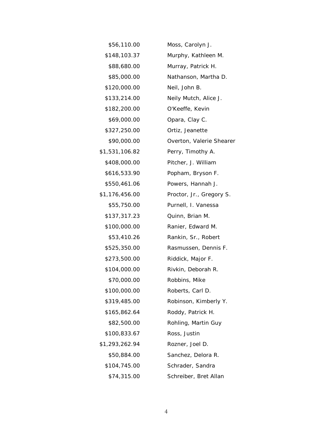| \$56,110.00    | Moss, Carolyn J.         |
|----------------|--------------------------|
| \$148,103.37   | Murphy, Kathleen M.      |
| \$88,680.00    | Murray, Patrick H.       |
| \$85,000.00    | Nathanson, Martha D.     |
| \$120,000.00   | Neil, John B.            |
| \$133,214.00   | Neily Mutch, Alice J.    |
| \$182,200.00   | O'Keeffe, Kevin          |
| \$69,000.00    | Opara, Clay C.           |
| \$327,250.00   | Ortiz, Jeanette          |
| \$90,000.00    | Overton, Valerie Shearer |
| \$1,531,106.82 | Perry, Timothy A.        |
| \$408,000.00   | Pitcher, J. William      |
| \$616,533.90   | Popham, Bryson F.        |
| \$550,461.06   | Powers, Hannah J.        |
| \$1,176,456.00 | Proctor, Jr., Gregory S. |
| \$55,750.00    | Purnell, I. Vanessa      |
| \$137,317.23   | Quinn, Brian M.          |
| \$100,000.00   | Ranier, Edward M.        |
| \$53,410.26    | Rankin, Sr., Robert      |
| \$525,350.00   | Rasmussen, Dennis F.     |
| \$273,500.00   | Riddick, Major F.        |
| \$104,000.00   | Rivkin, Deborah R.       |
| \$70,000.00    | Robbins, Mike            |
| \$100,000.00   | Roberts, Carl D.         |
| \$319,485.00   | Robinson, Kimberly Y.    |
| \$165,862.64   | Roddy, Patrick H.        |
| \$82,500.00    | Rohling, Martin Guy      |
| \$100,833.67   | Ross, Justin             |
| \$1,293,262.94 | Rozner, Joel D.          |
| \$50,884.00    | Sanchez, Delora R.       |
| \$104,745.00   | Schrader, Sandra         |
| \$74,315.00    | Schreiber, Bret Allan    |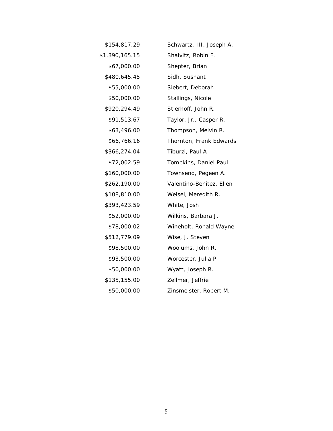| \$154,817.29   | Schwartz, III, Joseph A. |
|----------------|--------------------------|
| \$1,390,165.15 | Shaivitz, Robin F.       |
| \$67,000.00    | Shepter, Brian           |
| \$480,645.45   | Sidh, Sushant            |
| \$55,000.00    | Siebert, Deborah         |
| \$50,000.00    | Stallings, Nicole        |
| \$920,294.49   | Stierhoff, John R.       |
| \$91,513.67    | Taylor, Jr., Casper R.   |
| \$63,496.00    | Thompson, Melvin R.      |
| \$66,766.16    | Thornton, Frank Edwards  |
| \$366,274.04   | Tiburzi, Paul A          |
| \$72,002.59    | Tompkins, Daniel Paul    |
| \$160,000.00   | Townsend, Pegeen A.      |
| \$262,190.00   | Valentino-Benitez, Ellen |
| \$108,810.00   | Weisel, Meredith R.      |
| \$393,423.59   | White, Josh              |
| \$52,000.00    | Wilkins, Barbara J.      |
| \$78,000.02    | Wineholt, Ronald Wayne   |
| \$512,779.09   | Wise, J. Steven          |
| \$98,500.00    | Woolums, John R.         |
| \$93,500.00    | Worcester, Julia P.      |
| \$50,000.00    | Wyatt, Joseph R.         |
| \$135,155.00   | Zellmer, Jeffrie         |
| \$50,000.00    | Zinsmeister, Robert M.   |
|                |                          |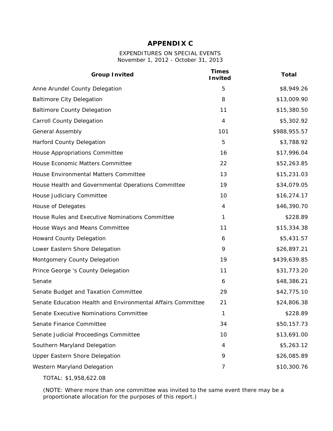#### **APPENDIX C**

#### EXPENDITURES ON SPECIAL EVENTS *November 1, 2012 - October 31, 2013*

| <b>Group Invited</b>                                        | <b>Times</b><br><b>Invited</b> | <b>Total</b> |
|-------------------------------------------------------------|--------------------------------|--------------|
| Anne Arundel County Delegation                              | 5                              | \$8,949.26   |
| <b>Baltimore City Delegation</b>                            | 8                              | \$13,009.90  |
| <b>Baltimore County Delegation</b>                          | 11                             | \$15,380.50  |
| <b>Carroll County Delegation</b>                            | $\overline{4}$                 | \$5,302.92   |
| <b>General Assembly</b>                                     | 101                            | \$988,955.57 |
| <b>Harford County Delegation</b>                            | 5                              | \$3,788.92   |
| House Appropriations Committee                              | 16                             | \$17,996.04  |
| House Economic Matters Committee                            | 22                             | \$52,263.85  |
| House Environmental Matters Committee                       | 13                             | \$15,231.03  |
| House Health and Governmental Operations Committee          | 19                             | \$34,079.05  |
| House Judiciary Committee                                   | 10                             | \$16,274.17  |
| House of Delegates                                          | $\overline{4}$                 | \$46,390.70  |
| House Rules and Executive Nominations Committee             | 1                              | \$228.89     |
| House Ways and Means Committee                              | 11                             | \$15,334.38  |
| <b>Howard County Delegation</b>                             | 6                              | \$5,431.57   |
| Lower Eastern Shore Delegation                              | 9                              | \$26,897.21  |
| Montgomery County Delegation                                | 19                             | \$439,639.85 |
| Prince George 's County Delegation                          | 11                             | \$31,773.20  |
| Senate                                                      | 6                              | \$48,386.21  |
| Senate Budget and Taxation Committee                        | 29                             | \$42,775.10  |
| Senate Education Health and Environmental Affairs Committee | 21                             | \$24,806.38  |
| Senate Executive Nominations Committee                      | 1                              | \$228.89     |
| Senate Finance Committee                                    | 34                             | \$50,157.73  |
| Senate Judicial Proceedings Committee                       | 10                             | \$13,691.00  |
| Southern Maryland Delegation                                | 4                              | \$5,263.12   |
| <b>Upper Eastern Shore Delegation</b>                       | 9                              | \$26,085.89  |
| Western Maryland Delegation                                 | 7                              | \$10,300.76  |
|                                                             |                                |              |

TOTAL: \$1,958,622.08

(NOTE: Where more than one committee was invited to the same event there may be a proportionate allocation for the purposes of this report.)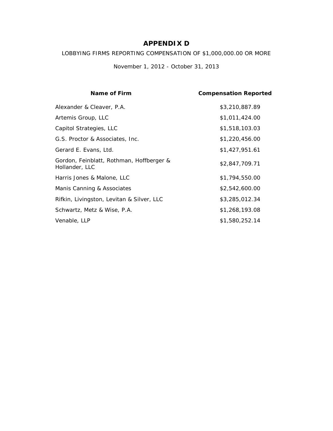### **APPENDIX D**

LOBBYING FIRMS REPORTING COMPENSATION OF \$1,000,000.00 OR MORE

*November 1, 2012 - October 31, 2013*

| Name of Firm                                               | <b>Compensation Reported</b> |
|------------------------------------------------------------|------------------------------|
| Alexander & Cleaver, P.A.                                  | \$3,210,887.89               |
| Artemis Group, LLC                                         | \$1,011,424.00               |
| Capitol Strategies, LLC                                    | \$1,518,103.03               |
| G.S. Proctor & Associates, Inc.                            | \$1,220,456.00               |
| Gerard E. Evans, Ltd.                                      | \$1,427,951.61               |
| Gordon, Feinblatt, Rothman, Hoffberger &<br>Hollander, LLC | \$2,847,709.71               |
| Harris Jones & Malone, LLC                                 | \$1,794,550.00               |
| Manis Canning & Associates                                 | \$2,542,600.00               |
| Rifkin, Livingston, Levitan & Silver, LLC                  | \$3,285,012.34               |
| Schwartz, Metz & Wise, P.A.                                | \$1,268,193.08               |
| Venable, LLP                                               | \$1,580,252.14               |